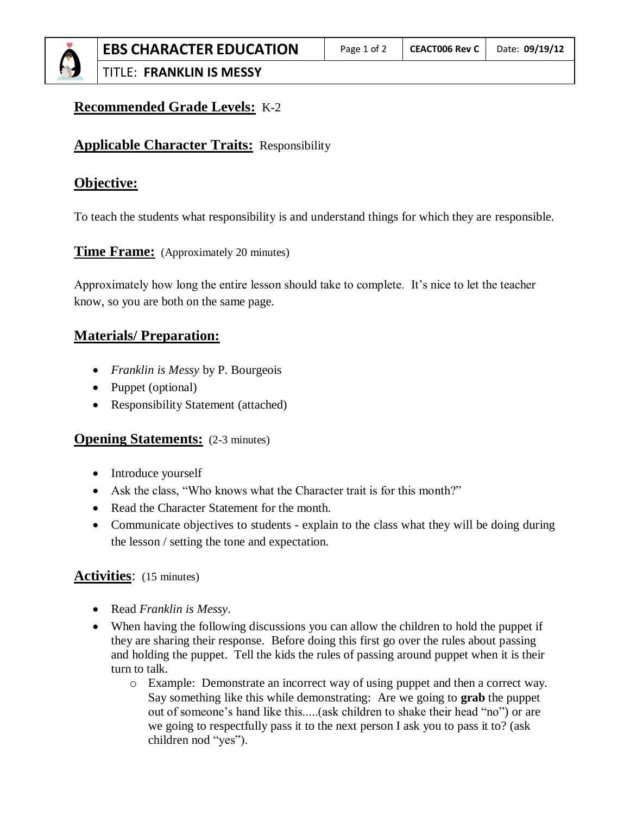TITLE: **FRANKLIN IS MESSY**

# **Recommended Grade Levels:** K-2

## **Applicable Character Traits:** Responsibility

# **Objective:**

To teach the students what responsibility is and understand things for which they are responsible.

**Time Frame:** (Approximately 20 minutes)

Approximately how long the entire lesson should take to complete. It's nice to let the teacher know, so you are both on the same page.

## **Materials/ Preparation:**

- *Franklin is Messy* by P. Bourgeois
- Puppet (optional)
- Responsibility Statement (attached)

#### **Opening Statements:** (2-3 minutes)

- Introduce yourself
- Ask the class, "Who knows what the Character trait is for this month?"
- Read the Character Statement for the month.
- Communicate objectives to students explain to the class what they will be doing during the lesson / setting the tone and expectation.

### **Activities**: (15 minutes)

- Read *Franklin is Messy*.
- When having the following discussions you can allow the children to hold the puppet if they are sharing their response. Before doing this first go over the rules about passing and holding the puppet. Tell the kids the rules of passing around puppet when it is their turn to talk.
	- o Example: Demonstrate an incorrect way of using puppet and then a correct way. Say something like this while demonstrating: Are we going to **grab** the puppet out of someone's hand like this.....(ask children to shake their head "no") or are we going to respectfully pass it to the next person I ask you to pass it to? (ask children nod "yes").